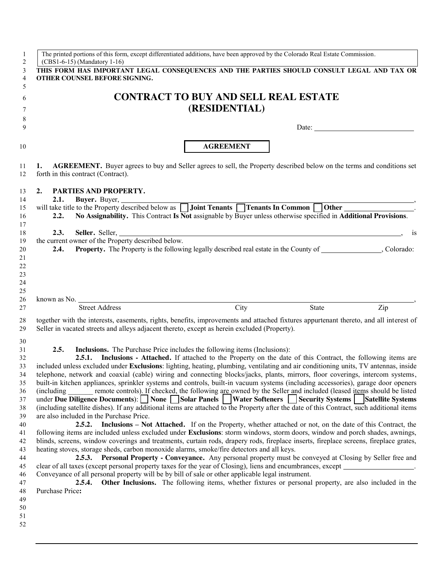| 1              | The printed portions of this form, except differentiated additions, have been approved by the Colorado Real Estate Commission.                                                                                                        |
|----------------|---------------------------------------------------------------------------------------------------------------------------------------------------------------------------------------------------------------------------------------|
| $\overline{2}$ | (CBS1-6-15) (Mandatory 1-16)                                                                                                                                                                                                          |
| 3<br>4         | THIS FORM HAS IMPORTANT LEGAL CONSEQUENCES AND THE PARTIES SHOULD CONSULT LEGAL AND TAX OR<br>OTHER COUNSEL BEFORE SIGNING.                                                                                                           |
| 5              |                                                                                                                                                                                                                                       |
| 6              | <b>CONTRACT TO BUY AND SELL REAL ESTATE</b>                                                                                                                                                                                           |
| 7              | (RESIDENTIAL)                                                                                                                                                                                                                         |
| 8              |                                                                                                                                                                                                                                       |
| 9              |                                                                                                                                                                                                                                       |
| 10             | <b>AGREEMENT</b>                                                                                                                                                                                                                      |
| 11<br>12       | <b>AGREEMENT.</b> Buyer agrees to buy and Seller agrees to sell, the Property described below on the terms and conditions set<br>1.<br>forth in this contract (Contract).                                                             |
| 13<br>14       | 2.<br>PARTIES AND PROPERTY.<br>2.1.<br>Buyer. Buyer,                                                                                                                                                                                  |
| 15             | will take title to the Property described below as <b>II Joint Tenants II Tenants In Common</b><br><b>Other</b>                                                                                                                       |
| 16             | No Assignability. This Contract Is Not assignable by Buyer unless otherwise specified in Additional Provisions.<br>2.2.                                                                                                               |
| 17             |                                                                                                                                                                                                                                       |
| 18             | 2.3.<br>Seller. Seller,<br><u> 1980 - Andrea Stadt Britain, amerikan bestean ingilang pada sebagai pada sebagai pada sebagai pada sebagai p</u><br><b>1S</b>                                                                          |
| 19             | the current owner of the Property described below.                                                                                                                                                                                    |
| 20             | <b>Property.</b> The Property is the following legally described real estate in the County of Colorado:<br>2.4.                                                                                                                       |
| 21             |                                                                                                                                                                                                                                       |
| 22             |                                                                                                                                                                                                                                       |
| 23             |                                                                                                                                                                                                                                       |
| 24             |                                                                                                                                                                                                                                       |
| 25<br>26       |                                                                                                                                                                                                                                       |
| 27             | City<br><b>Street Address</b><br>State<br>Zip                                                                                                                                                                                         |
|                |                                                                                                                                                                                                                                       |
| 28<br>29       | together with the interests, easements, rights, benefits, improvements and attached fixtures appurtenant thereto, and all interest of<br>Seller in vacated streets and alleys adjacent thereto, except as herein excluded (Property). |
| 30             |                                                                                                                                                                                                                                       |
| 31             | 2.5.<br><b>Inclusions.</b> The Purchase Price includes the following items (Inclusions):                                                                                                                                              |
| 32             | Inclusions - Attached. If attached to the Property on the date of this Contract, the following items are<br>2.5.1.                                                                                                                    |
| 33             | included unless excluded under Exclusions: lighting, heating, plumbing, ventilating and air conditioning units, TV antennas, inside                                                                                                   |
| 34             | telephone, network and coaxial (cable) wiring and connecting blocks/jacks, plants, mirrors, floor coverings, intercom systems,                                                                                                        |
| 35             | built-in kitchen appliances, sprinkler systems and controls, built-in vacuum systems (including accessories), garage door openers                                                                                                     |
| 36             | remote controls). If checked, the following are owned by the Seller and included (leased items should be listed<br>(including)                                                                                                        |
| 37             | under Due Diligence Documents): None Solar Panels   Water Softeners   Security Systems   Satellite Systems                                                                                                                            |
| 38             | (including satellite dishes). If any additional items are attached to the Property after the date of this Contract, such additional items                                                                                             |
| 39             | are also included in the Purchase Price.<br>2.5.2. Inclusions – Not Attached. If on the Property, whether attached or not, on the date of this Contract, the                                                                          |
| 40<br>41       | following items are included unless excluded under Exclusions: storm windows, storm doors, window and porch shades, awnings,                                                                                                          |
| 42             | blinds, screens, window coverings and treatments, curtain rods, drapery rods, fireplace inserts, fireplace screens, fireplace grates,                                                                                                 |
| 43             | heating stoves, storage sheds, carbon monoxide alarms, smoke/fire detectors and all keys.                                                                                                                                             |
| 44             | 2.5.3. Personal Property - Conveyance. Any personal property must be conveyed at Closing by Seller free and                                                                                                                           |
| 45             | clear of all taxes (except personal property taxes for the year of Closing), liens and encumbrances, except                                                                                                                           |
| 46             | Conveyance of all personal property will be by bill of sale or other applicable legal instrument.                                                                                                                                     |
| 47             | Other Inclusions. The following items, whether fixtures or personal property, are also included in the<br>2.5.4.                                                                                                                      |
| 48             | Purchase Price:                                                                                                                                                                                                                       |
| 49             |                                                                                                                                                                                                                                       |
| 50             |                                                                                                                                                                                                                                       |
| 51             |                                                                                                                                                                                                                                       |
| 52             |                                                                                                                                                                                                                                       |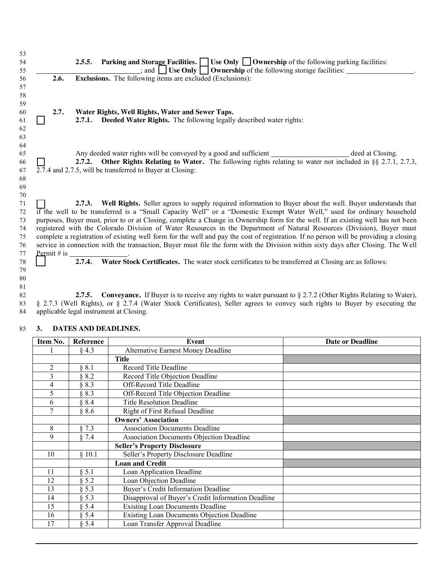**2.5.5. Parking and Storage Facilities. Use Only Ownership** of the following parking facilities: **ICL CONSERVERTY 1989 CONSERVERTY Ownership** of the following storage facilities: **2.6. Exclusions.** The following items are excluded (Exclusions):  **2.7. Water Rights, Well Rights, Water and Sewer Taps. 2.7.1. Deeded Water Rights.** The following legally described water rights: 65 Any deeded water rights will be conveyed by a good and sufficient **deed at Closing** deed at Closing. **2.7.2. Other Rights Relating to Water.** The following rights relating to water not included in §§ 2.7.1, 2.7.3, 2.7.4 and 2.7.5, will be transferred to Buyer at Closing: **2.7.3. Well Rights.** Seller agrees to supply required information to Buyer about the well. Buyer understands that if the well to be transferred is a "Small Capacity Well" or a "Domestic Exempt Water Well," used for ordinary household purposes, Buyer must, prior to or at Closing, complete a Change in Ownership form for the well. If an existing well has not been registered with the Colorado Division of Water Resources in the Department of Natural Resources (Division), Buyer must

**2.7.4. Water Stock Certificates.** The water stock certificates to be transferred at Closing are as follows:

**2.7.5. Conveyance.** If Buyer is to receive any rights to water pursuant to § 2.7.2 (Other Rights Relating to Water), § 2.7.3 (Well Rights), or § 2.7.4 (Water Stock Certificates), Seller agrees to convey such rights to Buyer by executing the applicable legal instrument at Closing.

| Item No.       | <b>Reference</b> | Event                                              | <b>Date or Deadline</b> |
|----------------|------------------|----------------------------------------------------|-------------------------|
|                | § 4.3            | <b>Alternative Earnest Money Deadline</b>          |                         |
|                |                  | <b>Title</b>                                       |                         |
| $\overline{2}$ | § 8.1            | <b>Record Title Deadline</b>                       |                         |
| 3              | § 8.2            | Record Title Objection Deadline                    |                         |
| 4              | § 8.3            | Off-Record Title Deadline                          |                         |
| 5              | § 8.3            | Off-Record Title Objection Deadline                |                         |
| 6              | § 8.4            | <b>Title Resolution Deadline</b>                   |                         |
| $\overline{7}$ | § 8.6            | <b>Right of First Refusal Deadline</b>             |                         |
|                |                  | <b>Owners' Association</b>                         |                         |
| 8              | § 7.3            | <b>Association Documents Deadline</b>              |                         |
| 9              | § 7.4            | <b>Association Documents Objection Deadline</b>    |                         |
|                |                  | <b>Seller's Property Disclosure</b>                |                         |
| 10             | \$10.1           | Seller's Property Disclosure Deadline              |                         |
|                |                  | <b>Loan and Credit</b>                             |                         |
| 11             | § 5.1            | Loan Application Deadline                          |                         |
| 12             | § 5.2            | Loan Objection Deadline                            |                         |
| 13             | § 5.3            | Buyer's Credit Information Deadline                |                         |
| 14             | § 5.3            | Disapproval of Buyer's Credit Information Deadline |                         |
| 15             | § 5.4            | <b>Existing Loan Documents Deadline</b>            |                         |
| 16             | $§$ 5.4          | <b>Existing Loan Documents Objection Deadline</b>  |                         |
| 17             | § 5.4            | Loan Transfer Approval Deadline                    |                         |

### **3. DATES AND DEADLINES.**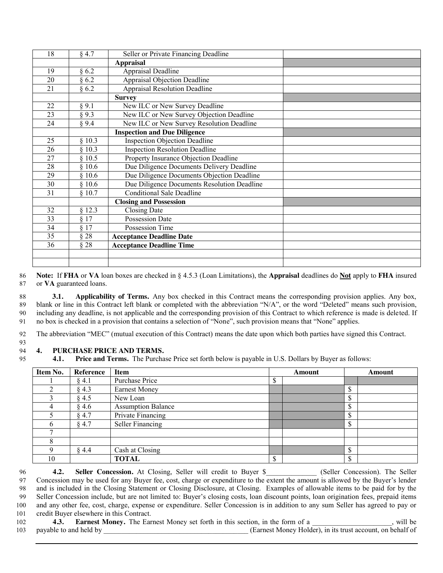| 18 | $§$ 4.7 | Seller or Private Financing Deadline        |  |
|----|---------|---------------------------------------------|--|
|    |         | <b>Appraisal</b>                            |  |
| 19 | §6.2    | Appraisal Deadline                          |  |
| 20 | §6.2    | <b>Appraisal Objection Deadline</b>         |  |
| 21 | §6.2    | <b>Appraisal Resolution Deadline</b>        |  |
|    |         | <b>Survey</b>                               |  |
| 22 | § 9.1   | New ILC or New Survey Deadline              |  |
| 23 | § 9.3   | New ILC or New Survey Objection Deadline    |  |
| 24 | § 9.4   | New ILC or New Survey Resolution Deadline   |  |
|    |         | <b>Inspection and Due Diligence</b>         |  |
| 25 | § 10.3  | <b>Inspection Objection Deadline</b>        |  |
| 26 | § 10.3  | <b>Inspection Resolution Deadline</b>       |  |
| 27 | § 10.5  | Property Insurance Objection Deadline       |  |
| 28 | \$10.6  | Due Diligence Documents Delivery Deadline   |  |
| 29 | \$10.6  | Due Diligence Documents Objection Deadline  |  |
| 30 | § 10.6  | Due Diligence Documents Resolution Deadline |  |
| 31 | § 10.7  | <b>Conditional Sale Deadline</b>            |  |
|    |         | <b>Closing and Possession</b>               |  |
| 32 | § 12.3  | <b>Closing Date</b>                         |  |
| 33 | § 17    | <b>Possession Date</b>                      |  |
| 34 | § 17    | Possession Time                             |  |
| 35 | § 28    | <b>Acceptance Deadline Date</b>             |  |
| 36 | § 28    | <b>Acceptance Deadline Time</b>             |  |
|    |         |                                             |  |
|    |         |                                             |  |

 **Note:** If **FHA** or **VA** loan boxes are checked in § 4.5.3 (Loan Limitations), the **Appraisal** deadlines do **Not** apply to **FHA** insured or **VA** guaranteed loans.

 **3.1. Applicability of Terms.** Any box checked in this Contract means the corresponding provision applies. Any box, 89 blank or line in this Contract left blank or completed with the abbreviation "N/A", or the word "Deleted" means such provision, including any deadline, is not applicable and the corresponding provision of this Contract to which reference is made is deleted. If no box is checked in a provision that contains a selection of "None", such provision means that "None" applies.

The abbreviation "MEC" (mutual execution of this Contract) means the date upon which both parties have signed this Contract.

#### **4. PURCHASE PRICE AND TERMS.**

 **4.1. Price and Terms.** The Purchase Price set forth below is payable in U.S. Dollars by Buyer as follows:

| Item No. | <b>Reference</b> | <b>Item</b>               | Amount |  | Amount |  |
|----------|------------------|---------------------------|--------|--|--------|--|
|          | $§$ 4.1          | Purchase Price            |        |  |        |  |
|          | $§$ 4.3          | <b>Earnest Money</b>      |        |  |        |  |
|          | $§$ 4.5          | New Loan                  |        |  |        |  |
|          | § 4.6            | <b>Assumption Balance</b> |        |  |        |  |
|          | § 4.7            | Private Financing         |        |  |        |  |
|          | § 4.7            | Seller Financing          |        |  |        |  |
|          |                  |                           |        |  |        |  |
|          |                  |                           |        |  |        |  |
|          | § 4.4            | Cash at Closing           |        |  |        |  |
| 10       |                  | <b>TOTAL</b>              | ⋒      |  |        |  |

**4.2. Seller Concession.** At Closing, Seller will credit to Buyer \$ (Seller Concession). The Seller Concession may be used for any Buyer fee, cost, charge or expenditure to the extent the amount is allowed by the Buyer's lender and is included in the Closing Statement or Closing Disclosure, at Closing. Examples of allowable items to be paid for by the Seller Concession include, but are not limited to: Buyer's closing costs, loan discount points, loan origination fees, prepaid items and any other fee, cost, charge, expense or expenditure. Seller Concession is in addition to any sum Seller has agreed to pay or credit Buyer elsewhere in this Contract.

**4.3. Earnest Money.** The Earnest Money set forth in this section, in the form of a z and set in the section payable to and held by \_\_\_\_\_\_\_\_\_\_\_\_\_\_\_\_\_\_\_\_\_\_\_\_\_\_\_\_\_\_\_\_\_\_\_\_\_\_\_\_ (Earnest Money Holder), in its trust account, on behalf of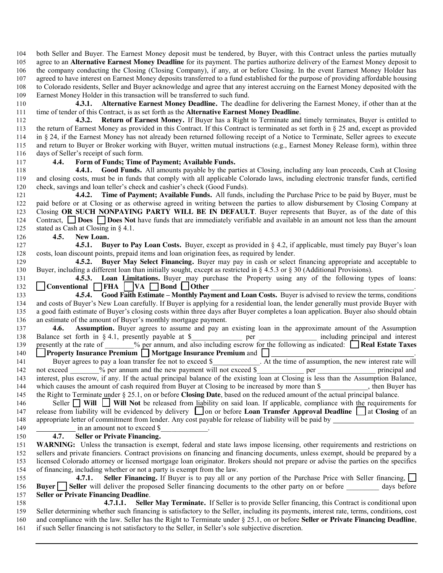both Seller and Buyer. The Earnest Money deposit must be tendered, by Buyer, with this Contract unless the parties mutually agree to an **Alternative Earnest Money Deadline** for its payment. The parties authorize delivery of the Earnest Money deposit to the company conducting the Closing (Closing Company), if any, at or before Closing. In the event Earnest Money Holder has agreed to have interest on Earnest Money deposits transferred to a fund established for the purpose of providing affordable housing to Colorado residents, Seller and Buyer acknowledge and agree that any interest accruing on the Earnest Money deposited with the Earnest Money Holder in this transaction will be transferred to such fund.

**4.3.1. Alternative Earnest Money Deadline.** The deadline for delivering the Earnest Money, if other than at the time of tender of this Contract, is as set forth as the **Alternative Earnest Money Deadline**.

**4.3.2. Return of Earnest Money.** If Buyer has a Right to Terminate and timely terminates, Buyer is entitled to the return of Earnest Money as provided in this Contract. If this Contract is terminated as set forth in § 25 and, except as provided in § 24, if the Earnest Money has not already been returned following receipt of a Notice to Terminate, Seller agrees to execute and return to Buyer or Broker working with Buyer, written mutual instructions (e.g., Earnest Money Release form), within three days of Seller's receipt of such form.

# **4.4. Form of Funds; Time of Payment; Available Funds.**

 **4.4.1. Good Funds.** All amounts payable by the parties at Closing, including any loan proceeds, Cash at Closing and closing costs, must be in funds that comply with all applicable Colorado laws, including electronic transfer funds, certified check, savings and loan teller's check and cashier's check (Good Funds).

**4.4.2. Time of Payment; Available Funds.** All funds, including the Purchase Price to be paid by Buyer, must be paid before or at Closing or as otherwise agreed in writing between the parties to allow disbursement by Closing Company at Closing **OR SUCH NONPAYING PARTY WILL BE IN DEFAULT**. Buyer represents that Buyer, as of the date of this Contract, **Does Does Not** have funds that are immediately verifiable and available in an amount not less than the amount stated as Cash at Closing in § 4.1.

**4.5. New Loan.** 

 **4.5.1. Buyer to Pay Loan Costs.** Buyer, except as provided in § 4.2, if applicable, must timely pay Buyer's loan costs, loan discount points, prepaid items and loan origination fees, as required by lender.

**4.5.2. Buyer May Select Financing.** Buyer may pay in cash or select financing appropriate and acceptable to Buyer, including a different loan than initially sought, except as restricted in § 4.5.3 or § 30 (Additional Provisions).

**4.5.3. Loan Limitations.** Buyer may purchase the Property using any of the following types of loans: **Conventional FHA VA Bond Other** 133 **4.5.4.** Good Faith Estimate – Monthly Paym

**4.5.4.** Good Faith Estimate – Monthly Payment and Loan Costs. Buyer is advised to review the terms, conditions and costs of Buyer's New Loan carefully. If Buyer is applying for a residential loan, the lender generally must provide Buyer with a good faith estimate of Buyer's closing costs within three days after Buyer completes a loan application. Buyer also should obtain an estimate of the amount of Buyer's monthly mortgage payment.

 **4.6. Assumption.** Buyer agrees to assume and pay an existing loan in the approximate amount of the Assumption 138 Balance set forth in § 4.1, presently payable at \$\_\_\_\_\_\_\_\_\_\_\_ per \_\_\_\_\_\_\_\_\_\_ including principal and interest 139 presently at the rate of \_\_\_\_\_\_\_% per annum, and also including escrow for the following as indicated: **Real Estate Taxes** 

140 **Property Insurance Premium Mortgage Insurance Premium** and  $\Box$ 141 Buyer agrees to pay a loan transfer fee not to exceed \$  $\blacksquare$  At the time of assumption, the new interest rate will 142 not exceed  $\%$  per annum and the new payment will not exceed \$ per principal and interest, plus escrow, if any. If the actual principal balance of the existing loan at Closing is less than the Assumption Balance, 144 which causes the amount of cash required from Buyer at Closing to be increased by more than \$\_\_\_\_\_\_\_\_\_, then Buyer has the Right to Terminate under § 25.1, on or before **Closing Date**, based on the reduced amount of the actual principal balance.

| $\overline{1}$ | the regin to Terminare and it was a being the crossing Date, cabel on the reduced amount of the actual principal culture.       |
|----------------|---------------------------------------------------------------------------------------------------------------------------------|
| 146            | Seller $\Box$ Will $\Box$ Will Not be released from liability on said loan. If applicable, compliance with the requirements for |
| 147            | release from liability will be evidenced by delivery on or before Loan Transfer Approval Deadline at Closing of an              |
|                | 148 appropriate letter of commitment from lender. Any cost payable for release of liability will be paid by                     |
| 149            | in an amount not to exceed \$                                                                                                   |

# **4.7. Seller or Private Financing.**

 **WARNING:** Unless the transaction is exempt, federal and state laws impose licensing, other requirements and restrictions on sellers and private financiers. Contract provisions on financing and financing documents, unless exempt, should be prepared by a licensed Colorado attorney or licensed mortgage loan originator. Brokers should not prepare or advise the parties on the specifics of financing, including whether or not a party is exempt from the law.

**4.7.1.** Seller Financing. If Buyer is to pay all or any portion of the Purchase Price with Seller financing, **Buyer** Seller will deliver the proposed Seller financing documents to the other party on or before days before **Seller or Private Financing Deadline**.

**4.7.1.1. Seller May Terminate.** If Seller is to provide Seller financing, this Contract is conditional upon Seller determining whether such financing is satisfactory to the Seller, including its payments, interest rate, terms, conditions, cost and compliance with the law. Seller has the Right to Terminate under § 25.1, on or before **Seller or Private Financing Deadline**, if such Seller financing is not satisfactory to the Seller, in Seller's sole subjective discretion.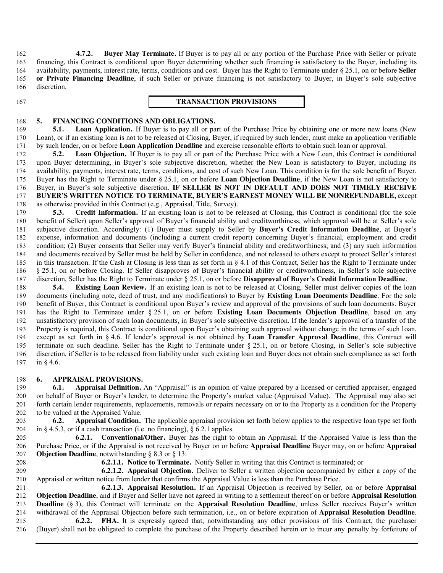**4.7.2. Buyer May Terminate.** If Buyer is to pay all or any portion of the Purchase Price with Seller or private financing, this Contract is conditional upon Buyer determining whether such financing is satisfactory to the Buyer, including its availability, payments, interest rate, terms, conditions and cost. Buyer has the Right to Terminate under § 25.1, on or before **Seller or Private Financing Deadline**, if such Seller or private financing is not satisfactory to Buyer, in Buyer's sole subjective discretion.

#### **TRANSACTION PROVISIONS**

# **5. FINANCING CONDITIONS AND OBLIGATIONS.**

 **5.1. Loan Application.** If Buyer is to pay all or part of the Purchase Price by obtaining one or more new loans (New Loan), or if an existing loan is not to be released at Closing, Buyer, if required by such lender, must make an application verifiable by such lender, on or before **Loan Application Deadline** and exercise reasonable efforts to obtain such loan or approval.

 **5.2. Loan Objection.** If Buyer is to pay all or part of the Purchase Price with a New Loan, this Contract is conditional upon Buyer determining, in Buyer's sole subjective discretion, whether the New Loan is satisfactory to Buyer, including its availability, payments, interest rate, terms, conditions, and cost of such New Loan. This condition is for the sole benefit of Buyer. Buyer has the Right to Terminate under § 25.1, on or before **Loan Objection Deadline**, if the New Loan is not satisfactory to Buyer, in Buyer's sole subjective discretion. **IF SELLER IS NOT IN DEFAULT AND DOES NOT TIMELY RECEIVE BUYER'S WRITTEN NOTICE TO TERMINATE, BUYER'S EARNEST MONEY WILL BE NONREFUNDABLE,** except as otherwise provided in this Contract (e.g., Appraisal, Title, Survey).

 **5.3. Credit Information.** If an existing loan is not to be released at Closing, this Contract is conditional (for the sole benefit of Seller) upon Seller's approval of Buyer's financial ability and creditworthiness, which approval will be at Seller's sole subjective discretion. Accordingly: (1) Buyer must supply to Seller by **Buyer's Credit Information Deadline**, at Buyer's expense, information and documents (including a current credit report) concerning Buyer's financial, employment and credit condition; (2) Buyer consents that Seller may verify Buyer's financial ability and creditworthiness; and (3) any such information and documents received by Seller must be held by Seller in confidence, and not released to others except to protect Seller's interest in this transaction. If the Cash at Closing is less than as set forth in § 4.1 of this Contract, Seller has the Right to Terminate under § 25.1, on or before Closing. If Seller disapproves of Buyer's financial ability or creditworthiness, in Seller's sole subjective discretion, Seller has the Right to Terminate under § 25.1, on or before **Disapproval of Buyer's Credit Information Deadline**.

 **5.4. Existing Loan Review.** If an existing loan is not to be released at Closing, Seller must deliver copies of the loan documents (including note, deed of trust, and any modifications) to Buyer by **Existing Loan Documents Deadline**. For the sole benefit of Buyer, this Contract is conditional upon Buyer's review and approval of the provisions of such loan documents. Buyer has the Right to Terminate under § 25.1, on or before **Existing Loan Documents Objection Deadline**, based on any unsatisfactory provision of such loan documents, in Buyer's sole subjective discretion. If the lender's approval of a transfer of the Property is required, this Contract is conditional upon Buyer's obtaining such approval without change in the terms of such loan, except as set forth in § 4.6. If lender's approval is not obtained by **Loan Transfer Approval Deadline**, this Contract will terminate on such deadline. Seller has the Right to Terminate under § 25.1, on or before Closing, in Seller's sole subjective discretion, if Seller is to be released from liability under such existing loan and Buyer does not obtain such compliance as set forth in § 4.6.

### **6. APPRAISAL PROVISIONS.**

 **6.1. Appraisal Definition.** An "Appraisal" is an opinion of value prepared by a licensed or certified appraiser, engaged on behalf of Buyer or Buyer's lender, to determine the Property's market value (Appraised Value). The Appraisal may also set forth certain lender requirements, replacements, removals or repairs necessary on or to the Property as a condition for the Property to be valued at the Appraised Value.

 **6.2. Appraisal Condition.** The applicable appraisal provision set forth below applies to the respective loan type set forth 204 in § 4.5.3, or if a cash transaction (i.e. no financing), § 6.2.1 applies.

**6.2.1. Conventional/Other.** Buyer has the right to obtain an Appraisal. If the Appraised Value is less than the Purchase Price, or if the Appraisal is not received by Buyer on or before **Appraisal Deadline** Buyer may, on or before **Appraisal Objection Deadline**, notwithstanding § 8.3 or § 13:

**6.2.1.1. Notice to Terminate.** Notify Seller in writing that this Contract is terminated; or

**6.2.1.2. Appraisal Objection.** Deliver to Seller a written objection accompanied by either a copy of the Appraisal or written notice from lender that confirms the Appraisal Value is less than the Purchase Price.

 **6.2.1.3. Appraisal Resolution.** If an Appraisal Objection is received by Seller, on or before **Appraisal Objection Deadline**, and if Buyer and Seller have not agreed in writing to a settlement thereof on or before **Appraisal Resolution Deadline** (§ 3), this Contract will terminate on the **Appraisal Resolution Deadline**, unless Seller receives Buyer's written withdrawal of the Appraisal Objection before such termination, i.e., on or before expiration of **Appraisal Resolution Deadline**.

**6.2.2. FHA.** It is expressly agreed that, notwithstanding any other provisions of this Contract, the purchaser (Buyer) shall not be obligated to complete the purchase of the Property described herein or to incur any penalty by forfeiture of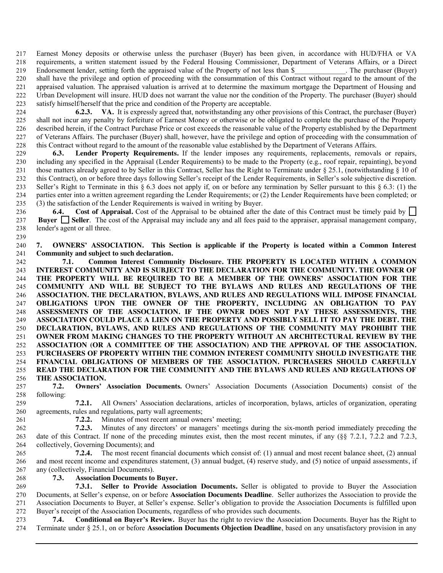Earnest Money deposits or otherwise unless the purchaser (Buyer) has been given, in accordance with HUD/FHA or VA requirements, a written statement issued by the Federal Housing Commissioner, Department of Veterans Affairs, or a Direct 219 Endorsement lender, setting forth the appraised value of the Property of not less than \$ The purchaser (Buyer) shall have the privilege and option of proceeding with the consummation of this Contract without regard to the amount of the appraised valuation. The appraised valuation is arrived at to determine the maximum mortgage the Department of Housing and Urban Development will insure. HUD does not warrant the value nor the condition of the Property. The purchaser (Buyer) should satisfy himself/herself that the price and condition of the Property are acceptable.

**6.2.3. VA.** It is expressly agreed that, notwithstanding any other provisions of this Contract, the purchaser (Buyer) shall not incur any penalty by forfeiture of Earnest Money or otherwise or be obligated to complete the purchase of the Property described herein, if the Contract Purchase Price or cost exceeds the reasonable value of the Property established by the Department of Veterans Affairs. The purchaser (Buyer) shall, however, have the privilege and option of proceeding with the consummation of this Contract without regard to the amount of the reasonable value established by the Department of Veterans Affairs.

 **6.3. Lender Property Requirements.** If the lender imposes any requirements, replacements, removals or repairs, including any specified in the Appraisal (Lender Requirements) to be made to the Property (e.g., roof repair, repainting), beyond 231 those matters already agreed to by Seller in this Contract, Seller has the Right to Terminate under § 25.1, (notwithstanding § 10 of this Contract), on or before three days following Seller's receipt of the Lender Requirements, in Seller's sole subjective discretion. Seller's Right to Terminate in this § 6.3 does not apply if, on or before any termination by Seller pursuant to this § 6.3: (1) the parties enter into a written agreement regarding the Lender Requirements; or (2) the Lender Requirements have been completed; or (3) the satisfaction of the Lender Requirements is waived in writing by Buyer.

236 6.4. Cost of Appraisal. Cost of the Appraisal to be obtained after the date of this Contract must be timely paid by **Buyer Seller**. The cost of the Appraisal may include any and all fees paid to the appraiser, appraisal management company, lender's agent or all three.

 **7. OWNERS' ASSOCIATION. This Section is applicable if the Property is located within a Common Interest Community and subject to such declaration.** 

 **7.1. Common Interest Community Disclosure. THE PROPERTY IS LOCATED WITHIN A COMMON INTEREST COMMUNITY AND IS SUBJECT TO THE DECLARATION FOR THE COMMUNITY. THE OWNER OF THE PROPERTY WILL BE REQUIRED TO BE A MEMBER OF THE OWNERS' ASSOCIATION FOR THE COMMUNITY AND WILL BE SUBJECT TO THE BYLAWS AND RULES AND REGULATIONS OF THE ASSOCIATION. THE DECLARATION, BYLAWS, AND RULES AND REGULATIONS WILL IMPOSE FINANCIAL OBLIGATIONS UPON THE OWNER OF THE PROPERTY, INCLUDING AN OBLIGATION TO PAY ASSESSMENTS OF THE ASSOCIATION. IF THE OWNER DOES NOT PAY THESE ASSESSMENTS, THE ASSOCIATION COULD PLACE A LIEN ON THE PROPERTY AND POSSIBLY SELL IT TO PAY THE DEBT. THE DECLARATION, BYLAWS, AND RULES AND REGULATIONS OF THE COMMUNITY MAY PROHIBIT THE OWNER FROM MAKING CHANGES TO THE PROPERTY WITHOUT AN ARCHITECTURAL REVIEW BY THE ASSOCIATION (OR A COMMITTEE OF THE ASSOCIATION) AND THE APPROVAL OF THE ASSOCIATION. PURCHASERS OF PROPERTY WITHIN THE COMMON INTEREST COMMUNITY SHOULD INVESTIGATE THE FINANCIAL OBLIGATIONS OF MEMBERS OF THE ASSOCIATION. PURCHASERS SHOULD CAREFULLY READ THE DECLARATION FOR THE COMMUNITY AND THE BYLAWS AND RULES AND REGULATIONS OF THE ASSOCIATION.** 

 **7.2. Owners' Association Documents.** Owners' Association Documents (Association Documents) consist of the following:

**7.2.1.** All Owners' Association declarations, articles of incorporation, bylaws, articles of organization, operating agreements, rules and regulations, party wall agreements;

**7.2.2.** Minutes of most recent annual owners' meeting;

**7.2.3.** Minutes of any directors' or managers' meetings during the six-month period immediately preceding the date of this Contract. If none of the preceding minutes exist, then the most recent minutes, if any (§§ 7.2.1, 7.2.2 and 7.2.3, collectively, Governing Documents); and

**7.2.4.** The most recent financial documents which consist of: (1) annual and most recent balance sheet, (2) annual and most recent income and expenditures statement, (3) annual budget, (4) reserve study, and (5) notice of unpaid assessments, if any (collectively, Financial Documents).

**7.3. Association Documents to Buyer.** 

**7.3.1. Seller to Provide Association Documents.** Seller is obligated to provide to Buyer the Association Documents, at Seller's expense, on or before **Association Documents Deadline**. Seller authorizes the Association to provide the Association Documents to Buyer, at Seller's expense. Seller's obligation to provide the Association Documents is fulfilled upon Buyer's receipt of the Association Documents, regardless of who provides such documents.

**7.4. Conditional on Buyer's Review.** Buyer has the right to review the Association Documents. Buyer has the Right to <br>274 Terminate under § 25.1, on or before Association Documents Objection Deadline, based on any unsatis Terminate under § 25.1, on or before **Association Documents Objection Deadline**, based on any unsatisfactory provision in any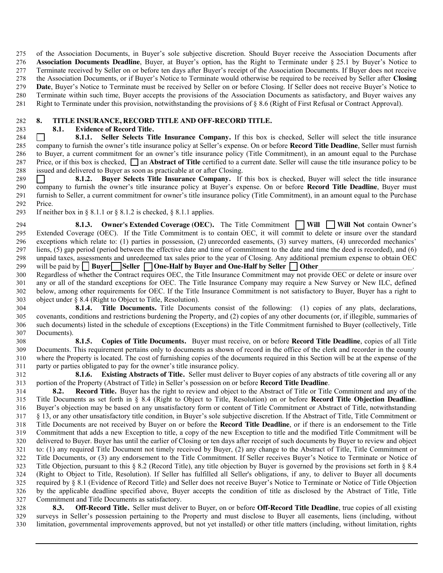of the Association Documents, in Buyer's sole subjective discretion. Should Buyer receive the Association Documents after **Association Documents Deadline**, Buyer, at Buyer's option, has the Right to Terminate under § 25.1 by Buyer's Notice to Terminate received by Seller on or before ten days after Buyer's receipt of the Association Documents. If Buyer does not receive the Association Documents, or if Buyer's Notice to Terminate would otherwise be required to be received by Seller after **Closing Date**, Buyer's Notice to Terminate must be received by Seller on or before Closing. If Seller does not receive Buyer's Notice to Terminate within such time, Buyer accepts the provisions of the Association Documents as satisfactory, and Buyer waives any Right to Terminate under this provision, notwithstanding the provisions of § 8.6 (Right of First Refusal or Contract Approval).

# **8. TITLE INSURANCE, RECORD TITLE AND OFF-RECORD TITLE.**

 **8.1. Evidence of Record Title.** 

 **8.1.1. Seller Selects Title Insurance Company.** If this box is checked, Seller will select the title insurance company to furnish the owner's title insurance policy at Seller's expense. On or before **Record Title Deadline**, Seller must furnish to Buyer, a current commitment for an owner's title insurance policy (Title Commitment), in an amount equal to the Purchase 287 Price, or if this box is checked,  $\Box$  an **Abstract of Title** certified to a current date. Seller will cause the title insurance policy to be issued and delivered to Buyer as soon as practicable at or after Closing.

 **8.1.2. Buyer Selects Title Insurance Company.** If this box is checked, Buyer will select the title insurance company to furnish the owner's title insurance policy at Buyer's expense. On or before **Record Title Deadline**, Buyer must furnish to Seller, a current commitment for owner's title insurance policy (Title Commitment), in an amount equal to the Purchase Price.

293 If neither box in  $\S 8.1.1$  or  $\S 8.1.2$  is checked,  $\S 8.1.1$  applies.

**8.1.3. Owner's Extended Coverage (OEC).** The Title Commitment Will Will Not contain Owner's Extended Coverage (OEC). If the Title Commitment is to contain OEC, it will commit to delete or insure over the standard exceptions which relate to: (1) parties in possession, (2) unrecorded easements, (3) survey matters, (4) unrecorded mechanics' liens, (5) gap period (period between the effective date and time of commitment to the date and time the deed is recorded), and (6) unpaid taxes, assessments and unredeemed tax sales prior to the year of Closing. Any additional premium expense to obtain OEC 299 will be paid by **Buyer** Seller **One-Half by Buyer and One-Half by Seller** Other

 Regardless of whether the Contract requires OEC, the Title Insurance Commitment may not provide OEC or delete or insure over any or all of the standard exceptions for OEC. The Title Insurance Company may require a New Survey or New ILC, defined below, among other requirements for OEC. If the Title Insurance Commitment is not satisfactory to Buyer, Buyer has a right to object under § 8.4 (Right to Object to Title, Resolution).

 **8.1.4. Title Documents.** Title Documents consist of the following: (1) copies of any plats, declarations, covenants, conditions and restrictions burdening the Property, and (2) copies of any other documents (or, if illegible, summaries of such documents) listed in the schedule of exceptions (Exceptions) in the Title Commitment furnished to Buyer (collectively, Title Documents).

**8.1.5. Copies of Title Documents.** Buyer must receive, on or before **Record Title Deadline**, copies of all Title Documents. This requirement pertains only to documents as shown of record in the office of the clerk and recorder in the county where the Property is located. The cost of furnishing copies of the documents required in this Section will be at the expense of the party or parties obligated to pay for the owner's title insurance policy.

**8.1.6. Existing Abstracts of Title.** Seller must deliver to Buyer copies of any abstracts of title covering all or any portion of the Property (Abstract of Title) in Seller's possession on or before **Record Title Deadline**.

 **8.2. Record Title.** Buyer has the right to review and object to the Abstract of Title or Title Commitment and any of the Title Documents as set forth in § 8.4 (Right to Object to Title, Resolution) on or before **Record Title Objection Deadline**. Buyer's objection may be based on any unsatisfactory form or content of Title Commitment or Abstract of Title, notwithstanding § 13, or any other unsatisfactory title condition, in Buyer's sole subjective discretion. If the Abstract of Title, Title Commitment or Title Documents are not received by Buyer on or before the **Record Title Deadline**, or if there is an endorsement to the Title Commitment that adds a new Exception to title, a copy of the new Exception to title and the modified Title Commitment will be delivered to Buyer. Buyer has until the earlier of Closing or ten days after receipt of such documents by Buyer to review and object to: (1) any required Title Document not timely received by Buyer, (2) any change to the Abstract of Title, Title Commitment or Title Documents, or (3) any endorsement to the Title Commitment. If Seller receives Buyer's Notice to Terminate or Notice of 323 Title Objection, pursuant to this  $\S 8.2$  (Record Title), any title objection by Buyer is governed by the provisions set forth in  $\S 8.4$  (Right to Object to Title, Resolution). If Seller has fulfilled all Seller's obligations, if any, to deliver to Buyer all documents required by § 8.1 (Evidence of Record Title) and Seller does not receive Buyer's Notice to Terminate or Notice of Title Objection by the applicable deadline specified above, Buyer accepts the condition of title as disclosed by the Abstract of Title, Title Commitment and Title Documents as satisfactory.

 **8.3. Off-Record Title.** Seller must deliver to Buyer, on or before **Off-Record Title Deadline**, true copies of all existing surveys in Seller's possession pertaining to the Property and must disclose to Buyer all easements, liens (including, without limitation, governmental improvements approved, but not yet installed) or other title matters (including, without limitation, rights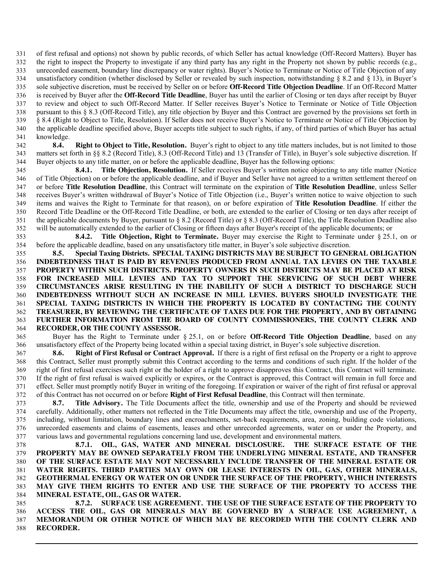of first refusal and options) not shown by public records, of which Seller has actual knowledge (Off-Record Matters). Buyer has 332 the right to inspect the Property to investigate if any third party has any right in the Property not shown by public records (e.g., unrecorded easement, boundary line discrepancy or water rights). Buyer's Notice to Terminate or Notice of Title Objection of any 334 unsatisfactory condition (whether disclosed by Seller or revealed by such inspection, notwithstanding  $\S$  8.2 and  $\S$  13), in Buyer's sole subjective discretion, must be received by Seller on or before **Off-Record Title Objection Deadline**. If an Off-Record Matter is received by Buyer after the **Off-Record Title Deadline**, Buyer has until the earlier of Closing or ten days after receipt by Buyer to review and object to such Off-Record Matter. If Seller receives Buyer's Notice to Terminate or Notice of Title Objection pursuant to this § 8.3 (Off-Record Title), any title objection by Buyer and this Contract are governed by the provisions set forth in § 8.4 (Right to Object to Title, Resolution). If Seller does not receive Buyer's Notice to Terminate or Notice of Title Objection by the applicable deadline specified above, Buyer accepts title subject to such rights, if any, of third parties of which Buyer has actual knowledge.

 **8.4. Right to Object to Title, Resolution.** Buyer's right to object to any title matters includes, but is not limited to those matters set forth in §§ 8.2 (Record Title), 8.3 (Off-Record Title) and 13 (Transfer of Title), in Buyer's sole subjective discretion. If Buyer objects to any title matter, on or before the applicable deadline, Buyer has the following options:

**8.4.1. Title Objection, Resolution.** If Seller receives Buyer's written notice objecting to any title matter (Notice of Title Objection) on or before the applicable deadline, and if Buyer and Seller have not agreed to a written settlement thereof on or before **Title Resolution Deadline**, this Contract will terminate on the expiration of **Title Resolution Deadline**, unless Seller receives Buyer's written withdrawal of Buyer's Notice of Title Objection (i.e., Buyer's written notice to waive objection to such items and waives the Right to Terminate for that reason), on or before expiration of **Title Resolution Deadline**. If either the Record Title Deadline or the Off-Record Title Deadline, or both, are extended to the earlier of Closing or ten days after receipt of 351 the applicable documents by Buyer, pursuant to  $\S 8.2$  (Record Title) or  $\S 8.3$  (Off-Record Title), the Title Resolution Deadline also will be automatically extended to the earlier of Closing or fifteen days after Buyer's receipt of the applicable documents; or

**8.4.2. Title Objection, Right to Terminate.** Buyer may exercise the Right to Terminate under § 25.1, on or before the applicable deadline, based on any unsatisfactory title matter, in Buyer's sole subjective discretion.

 **8.5. Special Taxing Districts. SPECIAL TAXING DISTRICTS MAY BE SUBJECT TO GENERAL OBLIGATION INDEBTEDNESS THAT IS PAID BY REVENUES PRODUCED FROM ANNUAL TAX LEVIES ON THE TAXABLE PROPERTY WITHIN SUCH DISTRICTS. PROPERTY OWNERS IN SUCH DISTRICTS MAY BE PLACED AT RISK FOR INCREASED MILL LEVIES AND TAX TO SUPPORT THE SERVICING OF SUCH DEBT WHERE CIRCUMSTANCES ARISE RESULTING IN THE INABILITY OF SUCH A DISTRICT TO DISCHARGE SUCH INDEBTEDNESS WITHOUT SUCH AN INCREASE IN MILL LEVIES. BUYERS SHOULD INVESTIGATE THE SPECIAL TAXING DISTRICTS IN WHICH THE PROPERTY IS LOCATED BY CONTACTING THE COUNTY TREASURER, BY REVIEWING THE CERTIFICATE OF TAXES DUE FOR THE PROPERTY, AND BY OBTAINING FURTHER INFORMATION FROM THE BOARD OF COUNTY COMMISSIONERS, THE COUNTY CLERK AND RECORDER, OR THE COUNTY ASSESSOR.** 

365 Buyer has the Right to Terminate under § 25.1, on or before **Off-Record Title Objection Deadline**, based on any unsatisfactory effect of the Property being located within a special taxing district, in Buyer's sole subjective discretion.

 **8.6. Right of First Refusal or Contract Approval.** If there is a right of first refusal on the Property or a right to approve this Contract, Seller must promptly submit this Contract according to the terms and conditions of such right. If the holder of the right of first refusal exercises such right or the holder of a right to approve disapproves this Contract, this Contract will terminate. If the right of first refusal is waived explicitly or expires, or the Contract is approved, this Contract will remain in full force and effect. Seller must promptly notify Buyer in writing of the foregoing. If expiration or waiver of the right of first refusal or approval of this Contract has not occurred on or before **Right of First Refusal Deadline**, this Contract will then terminate.

 **8.7. Title Advisory.** The Title Documents affect the title, ownership and use of the Property and should be reviewed carefully. Additionally, other matters not reflected in the Title Documents may affect the title, ownership and use of the Property, including, without limitation, boundary lines and encroachments, set-back requirements, area, zoning, building code violations, unrecorded easements and claims of easements, leases and other unrecorded agreements, water on or under the Property, and various laws and governmental regulations concerning land use, development and environmental matters.

**8.7.1. OIL, GAS, WATER AND MINERAL DISCLOSURE. THE SURFACE ESTATE OF THE PROPERTY MAY BE OWNED SEPARATELY FROM THE UNDERLYING MINERAL ESTATE, AND TRANSFER OF THE SURFACE ESTATE MAY NOT NECESSARILY INCLUDE TRANSFER OF THE MINERAL ESTATE OR WATER RIGHTS. THIRD PARTIES MAY OWN OR LEASE INTERESTS IN OIL, GAS, OTHER MINERALS, GEOTHERMAL ENERGY OR WATER ON OR UNDER THE SURFACE OF THE PROPERTY, WHICH INTERESTS MAY GIVE THEM RIGHTS TO ENTER AND USE THE SURFACE OF THE PROPERTY TO ACCESS THE MINERAL ESTATE, OIL, GAS OR WATER.**

**8.7.2. SURFACE USE AGREEMENT. THE USE OF THE SURFACE ESTATE OF THE PROPERTY TO ACCESS THE OIL, GAS OR MINERALS MAY BE GOVERNED BY A SURFACE USE AGREEMENT, A MEMORANDUM OR OTHER NOTICE OF WHICH MAY BE RECORDED WITH THE COUNTY CLERK AND RECORDER.**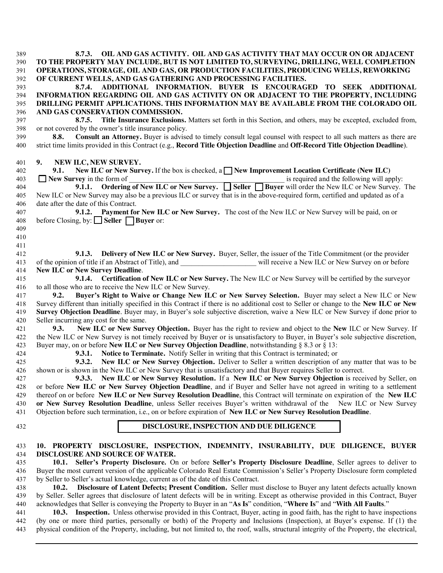| 389 | 8.7.3. OIL AND GAS ACTIVITY. OIL AND GAS ACTIVITY THAT MAY OCCUR ON OR ADJACENT                                                                                                                                                               |
|-----|-----------------------------------------------------------------------------------------------------------------------------------------------------------------------------------------------------------------------------------------------|
| 390 | TO THE PROPERTY MAY INCLUDE, BUT IS NOT LIMITED TO, SURVEYING, DRILLING, WELL COMPLETION                                                                                                                                                      |
| 391 | OPERATIONS, STORAGE, OIL AND GAS, OR PRODUCTION FACILITIES, PRODUCING WELLS, REWORKING                                                                                                                                                        |
| 392 | OF CURRENT WELLS, AND GAS GATHERING AND PROCESSING FACILITIES.                                                                                                                                                                                |
| 393 | ADDITIONAL INFORMATION. BUYER IS ENCOURAGED TO SEEK ADDITIONAL<br>8.7.4.                                                                                                                                                                      |
|     | INFORMATION REGARDING OIL AND GAS ACTIVITY ON OR ADJACENT TO THE PROPERTY, INCLUDING                                                                                                                                                          |
| 394 |                                                                                                                                                                                                                                               |
| 395 | DRILLING PERMIT APPLICATIONS. THIS INFORMATION MAY BE AVAILABLE FROM THE COLORADO OIL                                                                                                                                                         |
| 396 | AND GAS CONSERVATION COMMISSION.                                                                                                                                                                                                              |
| 397 | Title Insurance Exclusions. Matters set forth in this Section, and others, may be excepted, excluded from,<br>8.7.5.                                                                                                                          |
| 398 | or not covered by the owner's title insurance policy.                                                                                                                                                                                         |
| 399 | Consult an Attorney. Buyer is advised to timely consult legal counsel with respect to all such matters as there are<br>8.8.                                                                                                                   |
| 400 | strict time limits provided in this Contract (e.g., Record Title Objection Deadline and Off-Record Title Objection Deadline).                                                                                                                 |
| 401 | NEW ILC, NEW SURVEY.<br>9.                                                                                                                                                                                                                    |
| 402 | New ILC or New Survey. If the box is checked, a $\Box$ New Improvement Location Certificate (New ILC)<br>9.1.                                                                                                                                 |
| 403 | $\Box$ New Survey in the form of<br>is required and the following will apply:                                                                                                                                                                 |
| 404 | vey in the form of <u>section of the set of New ILC or New Survey.</u> Seller $\Box$ Buyer will order the New ILC or New Survey. The <b>9.1.1.</b> Ordering of New ILC or New Survey. $\Box$ Seller $\Box$ Buyer will order the New ILC or Ne |
| 405 | New ILC or New Survey may also be a previous ILC or survey that is in the above-required form, certified and updated as of a                                                                                                                  |
|     |                                                                                                                                                                                                                                               |
| 406 | date after the date of this Contract.                                                                                                                                                                                                         |
| 407 | 9.1.2. Payment for New ILC or New Survey. The cost of the New ILC or New Survey will be paid, on or                                                                                                                                           |
| 408 | before Closing, by: $\Box$ Seller $\Box$ Buyer or:                                                                                                                                                                                            |
| 409 |                                                                                                                                                                                                                                               |
| 410 |                                                                                                                                                                                                                                               |
| 411 |                                                                                                                                                                                                                                               |
| 412 | Delivery of New ILC or New Survey. Buyer, Seller, the issuer of the Title Commitment (or the provider<br>9.1.3.                                                                                                                               |
| 413 |                                                                                                                                                                                                                                               |
| 414 | <b>New ILC or New Survey Deadline.</b>                                                                                                                                                                                                        |
| 415 | 9.1.4. Certification of New ILC or New Survey. The New ILC or New Survey will be certified by the surveyor                                                                                                                                    |
| 416 | to all those who are to receive the New ILC or New Survey.                                                                                                                                                                                    |
|     |                                                                                                                                                                                                                                               |
| 417 | Buyer's Right to Waive or Change New ILC or New Survey Selection. Buyer may select a New ILC or New<br>9.2.                                                                                                                                   |
| 418 | Survey different than initially specified in this Contract if there is no additional cost to Seller or change to the New ILC or New                                                                                                           |
| 419 | Survey Objection Deadline. Buyer may, in Buyer's sole subjective discretion, waive a New ILC or New Survey if done prior to                                                                                                                   |
| 420 | Seller incurring any cost for the same.                                                                                                                                                                                                       |
| 421 | New ILC or New Survey Objection. Buyer has the right to review and object to the New ILC or New Survey. If<br>9.3.                                                                                                                            |
| 422 | the New ILC or New Survey is not timely received by Buyer or is unsatisfactory to Buyer, in Buyer's sole subjective discretion,                                                                                                               |
| 423 | Buyer may, on or before New ILC or New Survey Objection Deadline, notwithstanding § 8.3 or § 13:                                                                                                                                              |
| 424 | Notice to Terminate. Notify Seller in writing that this Contract is terminated; or<br>9.3.1.                                                                                                                                                  |
| 425 | New ILC or New Survey Objection. Deliver to Seller a written description of any matter that was to be<br>9.3.2.                                                                                                                               |
| 426 | shown or is shown in the New ILC or New Survey that is unsatisfactory and that Buyer requires Seller to correct.                                                                                                                              |
|     |                                                                                                                                                                                                                                               |
| 427 | 9.3.3. New ILC or New Survey Resolution. If a New ILC or New Survey Objection is received by Seller, on                                                                                                                                       |
| 428 | or before New ILC or New Survey Objection Deadline, and if Buyer and Seller have not agreed in writing to a settlement                                                                                                                        |
| 429 | thereof on or before New ILC or New Survey Resolution Deadline, this Contract will terminate on expiration of the New ILC                                                                                                                     |
| 430 | or New Survey Resolution Deadline, unless Seller receives Buyer's written withdrawal of the New ILC or New Survey                                                                                                                             |
| 431 | Objection before such termination, i.e., on or before expiration of New ILC or New Survey Resolution Deadline.                                                                                                                                |
| 432 | DISCLOSURE, INSPECTION AND DUE DILIGENCE                                                                                                                                                                                                      |
|     |                                                                                                                                                                                                                                               |
| 433 | 10. PROPERTY DISCLOSURE, INSPECTION, INDEMNITY, INSURABILITY, DUE DILIGENCE, BUYER                                                                                                                                                            |
| 434 | DISCLOSURE AND SOURCE OF WATER.                                                                                                                                                                                                               |
| 435 | 10.1. Seller's Property Disclosure. On or before Seller's Property Disclosure Deadline, Seller agrees to deliver to                                                                                                                           |
| 436 | Buyer the most current version of the applicable Colorado Real Estate Commission's Seller's Property Disclosure form completed                                                                                                                |
| 437 | by Seller to Seller's actual knowledge, current as of the date of this Contract.                                                                                                                                                              |
| 438 | Disclosure of Latent Defects; Present Condition. Seller must disclose to Buyer any latent defects actually known<br>10.2.                                                                                                                     |
|     | by Seller. Seller agrees that disclosure of latent defects will be in writing. Except as otherwise provided in this Contract, Buyer                                                                                                           |
| 439 |                                                                                                                                                                                                                                               |
| 440 | acknowledges that Seller is conveying the Property to Buyer in an "As Is" condition, "Where Is" and "With All Faults."                                                                                                                        |
| 441 | 10.3. Inspection. Unless otherwise provided in this Contract, Buyer, acting in good faith, has the right to have inspections                                                                                                                  |
| 442 | (by one or more third parties, personally or both) of the Property and Inclusions (Inspection), at Buyer's expense. If (1) the                                                                                                                |
| 443 | physical condition of the Property, including, but not limited to, the roof, walls, structural integrity of the Property, the electrical,                                                                                                     |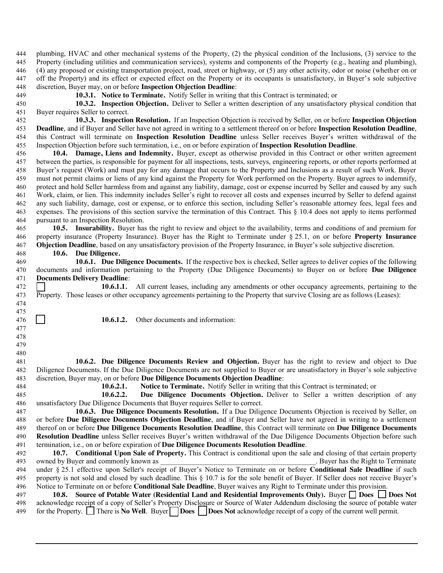plumbing, HVAC and other mechanical systems of the Property, (2) the physical condition of the Inclusions, (3) service to the Property (including utilities and communication services), systems and components of the Property (e.g., heating and plumbing), (4) any proposed or existing transportation project, road, street or highway, or (5) any other activity, odor or noise (whether on or off the Property) and its effect or expected effect on the Property or its occupants is unsatisfactory, in Buyer's sole subjective discretion, Buyer may, on or before **Inspection Objection Deadline**:

**10.3.1. Notice to Terminate.** Notify Seller in writing that this Contract is terminated; or

**10.3.2. Inspection Objection.** Deliver to Seller a written description of any unsatisfactory physical condition that Buyer requires Seller to correct.

 **10.3.3. Inspection Resolution.** If an Inspection Objection is received by Seller, on or before **Inspection Objection Deadline**, and if Buyer and Seller have not agreed in writing to a settlement thereof on or before **Inspection Resolution Deadline**, this Contract will terminate on **Inspection Resolution Deadline** unless Seller receives Buyer's written withdrawal of the Inspection Objection before such termination, i.e., on or before expiration of **Inspection Resolution Deadline**.

 **10.4. Damage, Liens and Indemnity.** Buyer, except as otherwise provided in this Contract or other written agreement between the parties, is responsible for payment for all inspections, tests, surveys, engineering reports, or other reports performed at Buyer's request (Work) and must pay for any damage that occurs to the Property and Inclusions as a result of such Work. Buyer must not permit claims or liens of any kind against the Property for Work performed on the Property. Buyer agrees to indemnify, protect and hold Seller harmless from and against any liability, damage, cost or expense incurred by Seller and caused by any such Work, claim, or lien. This indemnity includes Seller's right to recover all costs and expenses incurred by Seller to defend against any such liability, damage, cost or expense, or to enforce this section, including Seller's reasonable attorney fees, legal fees and expenses. The provisions of this section survive the termination of this Contract. This § 10.4 does not apply to items performed pursuant to an Inspection Resolution.

 **10.5. Insurability.** Buyer has the right to review and object to the availability, terms and conditions of and premium for property insurance (Property Insurance). Buyer has the Right to Terminate under § 25.1, on or before **Property Insurance Objection Deadline**, based on any unsatisfactory provision of the Property Insurance, in Buyer's sole subjective discretion.

**10.6. Due Diligence.** 

 **10.6.1. Due Diligence Documents.** If the respective box is checked, Seller agrees to deliver copies of the following documents and information pertaining to the Property (Due Diligence Documents) to Buyer on or before **Due Diligence Documents Delivery Deadline**:

 **10.6.1.1.** All current leases, including any amendments or other occupancy agreements, pertaining to the Property. Those leases or other occupancy agreements pertaining to the Property that survive Closing are as follows (Leases):

**10.6.1.2.** Other documents and information:

**10.6.2. Due Diligence Documents Review and Objection.** Buyer has the right to review and object to Due Diligence Documents. If the Due Diligence Documents are not supplied to Buyer or are unsatisfactory in Buyer's sole subjective discretion, Buyer may, on or before **Due Diligence Documents Objection Deadline**:

 

 **10.6.2.1. Notice to Terminate.** Notify Seller in writing that this Contract is terminated; or

**10.6.2.2. Due Diligence Documents Objection.** Deliver to Seller a written description of any unsatisfactory Due Diligence Documents that Buyer requires Seller to correct.

**10.6.3. Due Diligence Documents Resolution.** If a Due Diligence Documents Objection is received by Seller, on or before **Due Diligence Documents Objection Deadline**, and if Buyer and Seller have not agreed in writing to a settlement thereof on or before **Due Diligence Documents Resolution Deadline**, this Contract will terminate on **Due Diligence Documents Resolution Deadline** unless Seller receives Buyer's written withdrawal of the Due Diligence Documents Objection before such termination, i.e., on or before expiration of **Due Diligence Documents Resolution Deadline**.

10.7. **Conditional Upon Sale of Property.** This Contract is conditional upon the sale and closing of that certain property owned by Buyer and commonly known as Buyer has the Right to Terminate 493 owned by Buyer and commonly known as under § 25.1 effective upon Seller's receipt of Buyer's Notice to Terminate on or before **Conditional Sale Deadline** if such property is not sold and closed by such deadline. This § 10.7 is for the sole benefit of Buyer. If Seller does not receive Buyer's Notice to Terminate on or before **Conditional Sale Deadline**, Buyer waives any Right to Terminate under this provision.

 **10.8. Source of Potable Water (Residential Land and Residential Improvements Only).** Buyer **Does Does Not** acknowledge receipt of a copy of Seller's Property Disclosure or Source of Water Addendum disclosing the source of potable water for the Property. There is **No Well**. Buyer **Does Does Not** acknowledge receipt of a copy of the current well permit.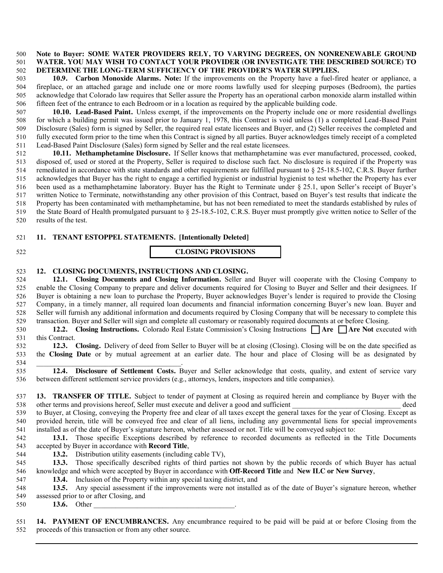#### **Note to Buyer: SOME WATER PROVIDERS RELY, TO VARYING DEGREES, ON NONRENEWABLE GROUND WATER. YOU MAY WISH TO CONTACT YOUR PROVIDER (OR INVESTIGATE THE DESCRIBED SOURCE) TO DETERMINE THE LONG-TERM SUFFICIENCY OF THE PROVIDER'S WATER SUPPLIES.**

 **10.9. Carbon Monoxide Alarms. Note:** If the improvements on the Property have a fuel-fired heater or appliance, a fireplace, or an attached garage and include one or more rooms lawfully used for sleeping purposes (Bedroom), the parties acknowledge that Colorado law requires that Seller assure the Property has an operational carbon monoxide alarm installed within fifteen feet of the entrance to each Bedroom or in a location as required by the applicable building code.

 **10.10. Lead-Based Paint.** Unless exempt, if the improvements on the Property include one or more residential dwellings for which a building permit was issued prior to January 1, 1978, this Contract is void unless (1) a completed Lead-Based Paint Disclosure (Sales) form is signed by Seller, the required real estate licensees and Buyer, and (2) Seller receives the completed and fully executed form prior to the time when this Contract is signed by all parties. Buyer acknowledges timely receipt of a completed Lead-Based Paint Disclosure (Sales) form signed by Seller and the real estate licensees.

 **10.11. Methamphetamine Disclosure.** If Seller knows that methamphetamine was ever manufactured, processed, cooked, disposed of, used or stored at the Property, Seller is required to disclose such fact. No disclosure is required if the Property was remediated in accordance with state standards and other requirements are fulfilled pursuant to § 25-18.5-102, C.R.S. Buyer further acknowledges that Buyer has the right to engage a certified hygienist or industrial hygienist to test whether the Property has ever been used as a methamphetamine laboratory. Buyer has the Right to Terminate under § 25.1, upon Seller's receipt of Buyer's written Notice to Terminate, notwithstanding any other provision of this Contract, based on Buyer's test results that indicate the Property has been contaminated with methamphetamine, but has not been remediated to meet the standards established by rules of the State Board of Health promulgated pursuant to § 25-18.5-102, C.R.S. Buyer must promptly give written notice to Seller of the results of the test.

#### **11. TENANT ESTOPPEL STATEMENTS. [Intentionally Deleted]**

**CLOSING PROVISIONS** 

### **12. CLOSING DOCUMENTS, INSTRUCTIONS AND CLOSING.**

 **12.1. Closing Documents and Closing Information.** Seller and Buyer will cooperate with the Closing Company to enable the Closing Company to prepare and deliver documents required for Closing to Buyer and Seller and their designees. If Buyer is obtaining a new loan to purchase the Property, Buyer acknowledges Buyer's lender is required to provide the Closing Company, in a timely manner, all required loan documents and financial information concerning Buyer's new loan. Buyer and Seller will furnish any additional information and documents required by Closing Company that will be necessary to complete this transaction. Buyer and Seller will sign and complete all customary or reasonably required documents at or before Closing.

**12.2. Closing Instructions.** Colorado Real Estate Commission's Closing Instructions **Are Are** Not executed with this Contract.

 **12.3. Closing.** Delivery of deed from Seller to Buyer will be at closing (Closing). Closing will be on the date specified as the **Closing Date** or by mutual agreement at an earlier date. The hour and place of Closing will be as designated by 

 **12.4. Disclosure of Settlement Costs.** Buyer and Seller acknowledge that costs, quality, and extent of service vary between different settlement service providers (e.g., attorneys, lenders, inspectors and title companies).

 **13. TRANSFER OF TITLE.** Subject to tender of payment at Closing as required herein and compliance by Buyer with the 538 other terms and provisions hereof, Seller must execute and deliver a good and sufficient deed

 to Buyer, at Closing, conveying the Property free and clear of all taxes except the general taxes for the year of Closing. Except as provided herein, title will be conveyed free and clear of all liens, including any governmental liens for special improvements installed as of the date of Buyer's signature hereon, whether assessed or not. Title will be conveyed subject to:

 **13.1.** Those specific Exceptions described by reference to recorded documents as reflected in the Title Documents accepted by Buyer in accordance with **Record Title**,

**13.2.** Distribution utility easements (including cable TV),

 **13.3.** Those specifically described rights of third parties not shown by the public records of which Buyer has actual knowledge and which were accepted by Buyer in accordance with **Off-Record Title** and **New ILC or New Survey**,

**13.4.** Inclusion of the Property within any special taxing district, and

 **13.5.** Any special assessment if the improvements were not installed as of the date of Buyer's signature hereon, whether assessed prior to or after Closing, and

**13.6.** Other

 **14. PAYMENT OF ENCUMBRANCES.** Any encumbrance required to be paid will be paid at or before Closing from the proceeds of this transaction or from any other source.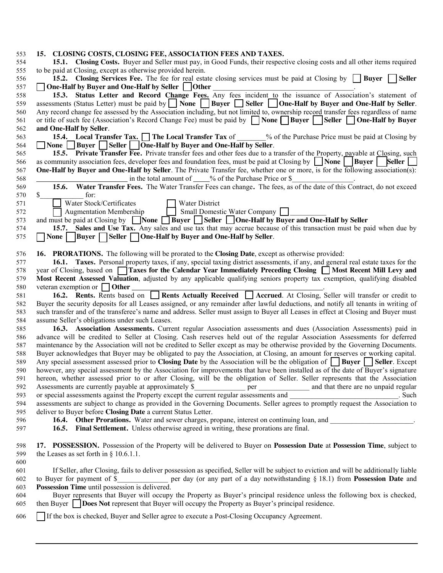| 553 | 15. CLOSING COSTS, CLOSING FEE, ASSOCIATION FEES AND TAXES.                                                                                            |
|-----|--------------------------------------------------------------------------------------------------------------------------------------------------------|
| 554 | 15.1. Closing Costs. Buyer and Seller must pay, in Good Funds, their respective closing costs and all other items required                             |
| 555 | to be paid at Closing, except as otherwise provided herein.                                                                                            |
| 556 | 15.2. Closing Services Fee. The fee for real estate closing services must be paid at Closing by <b>Buyer</b> Seller                                    |
| 557 | One-Half by Buyer and One-Half by Seller   Other                                                                                                       |
| 558 | 15.3. Status Letter and Record Change Fees. Any fees incident to the issuance of Association's statement of                                            |
| 559 | assessments (Status Letter) must be paid by $\vert$ None $\vert$ Buyer $\vert$ Seller $\vert$ One-Half by Buyer and One-Half by Seller.                |
| 560 | Any record change fee assessed by the Association including, but not limited to, ownership record transfer fees regardless of name                     |
| 561 | or title of such fee (Association's Record Change Fee) must be paid by   None   Buyer   Seller   One-Half by Buyer                                     |
| 562 | and One-Half by Seller.                                                                                                                                |
| 563 | <b>15.4.</b> Local Transfer Tax. The Local Transfer Tax of $\%$ of the Purchase Price must be paid at Closing by                                       |
| 564 | □ None □ Buyer □ Seller     One-Half by Buyer and One-Half by Seller.                                                                                  |
| 565 | 15.5. Private Transfer Fee. Private transfer fees and other fees due to a transfer of the Property, payable at Closing, such                           |
| 566 | as community association fees, developer fees and foundation fees, must be paid at Closing by $\Box$ None<br>Buyer  <br>  Seller                       |
|     | <b>One-Half by Buyer and One-Half by Seller</b> . The Private Transfer fee, whether one or more, is for the following association(s):                  |
| 567 | in the total amount of $\_\_\%$ of the Purchase Price or \$                                                                                            |
| 568 |                                                                                                                                                        |
| 569 | Water Transfer Fees. The Water Transfer Fees can change. The fees, as of the date of this Contract, do not exceed<br>15.6.                             |
| 570 | \$<br>for:                                                                                                                                             |
| 571 | Water Stock/Certificates<br>Water District                                                                                                             |
| 572 | <b>Augmentation Membership</b><br>Small Domestic Water Company                                                                                         |
| 573 | and must be paid at Closing by $\Box$ None $\Box$ Buyer $\Box$ Seller $\Box$ One-Half by Buyer and One-Half by Seller                                  |
| 574 | 15.7. Sales and Use Tax. Any sales and use tax that may accrue because of this transaction must be paid when due by                                    |
| 575 | None    Buyer $\Box$ Seller $\Box$ One-Half by Buyer and One-Half by Seller.                                                                           |
| 576 | <b>16. PRORATIONS.</b> The following will be prorated to the <b>Closing Date</b> , except as otherwise provided:                                       |
| 577 | 16.1. Taxes. Personal property taxes, if any, special taxing district assessments, if any, and general real estate taxes for the                       |
| 578 | year of Closing, based on <b>Traxes for the Calendar Year Immediately Preceding Closing The Most Recent Mill Levy and</b>                              |
|     | Most Recent Assessed Valuation, adjusted by any applicable qualifying seniors property tax exemption, qualifying disabled                              |
| 579 |                                                                                                                                                        |
| 580 | veteran exemption or $\Box$ Other<br><b>16.2.</b> Rents. Rents based on Rents Actually Received Accrued. At Closing, Seller will transfer or credit to |
| 581 |                                                                                                                                                        |
| 582 | Buyer the security deposits for all Leases assigned, or any remainder after lawful deductions, and notify all tenants in writing of                    |
| 583 | such transfer and of the transferee's name and address. Seller must assign to Buyer all Leases in effect at Closing and Buyer must                     |
| 584 | assume Seller's obligations under such Leases.                                                                                                         |
| 585 | 16.3. Association Assessments. Current regular Association assessments and dues (Association Assessments) paid in                                      |
| 586 | advance will be credited to Seller at Closing. Cash reserves held out of the regular Association Assessments for deferred                              |
| 587 | maintenance by the Association will not be credited to Seller except as may be otherwise provided by the Governing Documents.                          |
| 588 | Buyer acknowledges that Buyer may be obligated to pay the Association, at Closing, an amount for reserves or working capital.                          |
| 589 | Any special assessment assessed prior to Closing Date by the Association will be the obligation of <b>Buyer</b> Seller. Except                         |
| 590 | however, any special assessment by the Association for improvements that have been installed as of the date of Buyer's signature                       |
| 591 | hereon, whether assessed prior to or after Closing, will be the obligation of Seller. Seller represents that the Association                           |
| 592 |                                                                                                                                                        |
| 593 |                                                                                                                                                        |
| 594 |                                                                                                                                                        |
| 595 | deliver to Buyer before Closing Date a current Status Letter.                                                                                          |
| 596 | 16.4. Other Prorations. Water and sewer charges, propane, interest on continuing loan, and ___________________.                                        |
| 597 | 16.5. Final Settlement. Unless otherwise agreed in writing, these prorations are final.                                                                |
|     |                                                                                                                                                        |
| 598 | 17. POSSESSION. Possession of the Property will be delivered to Buyer on Possession Date at Possession Time, subject to                                |
| 599 | the Leases as set forth in $\S$ 10.6.1.1.                                                                                                              |
| 600 |                                                                                                                                                        |
| 601 | If Seller, after Closing, fails to deliver possession as specified, Seller will be subject to eviction and will be additionally liable                 |
| 602 | to Buyer for payment of \$<br>per day (or any part of a day notwithstanding § 18.1) from Possession Date and                                           |
| 603 | Possession Time until possession is delivered.                                                                                                         |
| 604 | Buyer represents that Buyer will occupy the Property as Buyer's principal residence unless the following box is checked,                               |
| 605 | then Buyer Does Not represent that Buyer will occupy the Property as Buyer's principal residence.                                                      |
| 606 | If the box is checked, Buyer and Seller agree to execute a Post-Closing Occupancy Agreement.                                                           |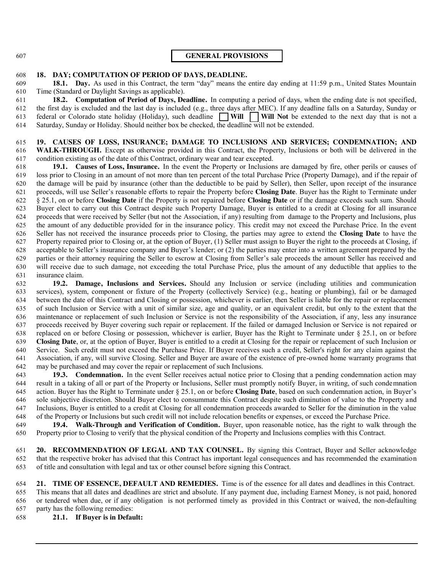#### **GENERAL PROVISIONS**

#### **18. DAY; COMPUTATION OF PERIOD OF DAYS, DEADLINE.**

 **18.1. Day.** As used in this Contract, the term "day" means the entire day ending at 11:59 p.m., United States Mountain Time (Standard or Daylight Savings as applicable).

 **18.2. Computation of Period of Days, Deadline.** In computing a period of days, when the ending date is not specified, the first day is excluded and the last day is included (e.g., three days after MEC). If any deadline falls on a Saturday, Sunday or 613 federal or Colorado state holiday (Holiday), such deadline  $\Box$  Will  $\Box$  Will Not be extended to the next day that is not a Saturday, Sunday or Holiday. Should neither box be checked, the deadline will not be extended.

# **19. CAUSES OF LOSS, INSURANCE; DAMAGE TO INCLUSIONS AND SERVICES; CONDEMNATION; AND**

 **WALK-THROUGH.** Except as otherwise provided in this Contract, the Property, Inclusions or both will be delivered in the condition existing as of the date of this Contract, ordinary wear and tear excepted.

 **19.1. Causes of Loss, Insurance.** In the event the Property or Inclusions are damaged by fire, other perils or causes of loss prior to Closing in an amount of not more than ten percent of the total Purchase Price (Property Damage), and if the repair of the damage will be paid by insurance (other than the deductible to be paid by Seller), then Seller, upon receipt of the insurance proceeds, will use Seller's reasonable efforts to repair the Property before **Closing Date**. Buyer has the Right to Terminate under § 25.1, on or before **Closing Date** if the Property is not repaired before **Closing Date** or if the damage exceeds such sum. Should Buyer elect to carry out this Contract despite such Property Damage, Buyer is entitled to a credit at Closing for all insurance proceeds that were received by Seller (but not the Association, if any) resulting from damage to the Property and Inclusions, plus the amount of any deductible provided for in the insurance policy. This credit may not exceed the Purchase Price. In the event Seller has not received the insurance proceeds prior to Closing, the parties may agree to extend the **Closing Date** to have the Property repaired prior to Closing or, at the option of Buyer, (1) Seller must assign to Buyer the right to the proceeds at Closing, if acceptable to Seller's insurance company and Buyer's lender; or (2) the parties may enter into a written agreement prepared by the parties or their attorney requiring the Seller to escrow at Closing from Seller's sale proceeds the amount Seller has received and will receive due to such damage, not exceeding the total Purchase Price, plus the amount of any deductible that applies to the insurance claim.

 **19.2. Damage, Inclusions and Services.** Should any Inclusion or service (including utilities and communication services), system, component or fixture of the Property (collectively Service) (e.g., heating or plumbing), fail or be damaged between the date of this Contract and Closing or possession, whichever is earlier, then Seller is liable for the repair or replacement of such Inclusion or Service with a unit of similar size, age and quality, or an equivalent credit, but only to the extent that the maintenance or replacement of such Inclusion or Service is not the responsibility of the Association, if any, less any insurance proceeds received by Buyer covering such repair or replacement. If the failed or damaged Inclusion or Service is not repaired or replaced on or before Closing or possession, whichever is earlier, Buyer has the Right to Terminate under § 25.1, on or before **Closing Date**, or, at the option of Buyer, Buyer is entitled to a credit at Closing for the repair or replacement of such Inclusion or Service. Such credit must not exceed the Purchase Price. If Buyer receives such a credit, Seller's right for any claim against the Association, if any, will survive Closing. Seller and Buyer are aware of the existence of pre-owned home warranty programs that may be purchased and may cover the repair or replacement of such Inclusions.

 **19.3. Condemnation.** In the event Seller receives actual notice prior to Closing that a pending condemnation action may result in a taking of all or part of the Property or Inclusions, Seller must promptly notify Buyer, in writing, of such condemnation action. Buyer has the Right to Terminate under § 25.1, on or before **Closing Date**, based on such condemnation action, in Buyer's sole subjective discretion. Should Buyer elect to consummate this Contract despite such diminution of value to the Property and Inclusions, Buyer is entitled to a credit at Closing for all condemnation proceeds awarded to Seller for the diminution in the value of the Property or Inclusions but such credit will not include relocation benefits or expenses, or exceed the Purchase Price.

 **19.4. Walk-Through and Verification of Condition.** Buyer, upon reasonable notice, has the right to walk through the Property prior to Closing to verify that the physical condition of the Property and Inclusions complies with this Contract.

 **20. RECOMMENDATION OF LEGAL AND TAX COUNSEL.** By signing this Contract, Buyer and Seller acknowledge that the respective broker has advised that this Contract has important legal consequences and has recommended the examination of title and consultation with legal and tax or other counsel before signing this Contract.

 **21. TIME OF ESSENCE, DEFAULT AND REMEDIES.** Time is of the essence for all dates and deadlines in this Contract. This means that all dates and deadlines are strict and absolute. If any payment due, including Earnest Money, is not paid, honored or tendered when due, or if any obligation is not performed timely as provided in this Contract or waived, the non-defaulting party has the following remedies:

**21.1. If Buyer is in Default:**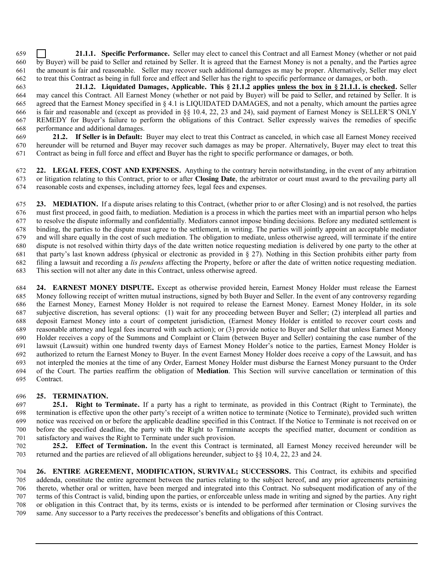**21.1.1. Specific Performance.** Seller may elect to cancel this Contract and all Earnest Money (whether or not paid by Buyer) will be paid to Seller and retained by Seller. It is agreed that the Earnest Money is not a penalty, and the Parties agree the amount is fair and reasonable. Seller may recover such additional damages as may be proper. Alternatively, Seller may elect to treat this Contract as being in full force and effect and Seller has the right to specific performance or damages, or both.

**21.1.2. Liquidated Damages, Applicable. This § 21.1.2 applies unless the box in § 21.1.1. is checked.** Seller may cancel this Contract. All Earnest Money (whether or not paid by Buyer) will be paid to Seller, and retained by Seller. It is agreed that the Earnest Money specified in § 4.1 is LIQUIDATED DAMAGES, and not a penalty, which amount the parties agree is fair and reasonable and (except as provided in §§ 10.4, 22, 23 and 24), said payment of Earnest Money is SELLER'S ONLY REMEDY for Buyer's failure to perform the obligations of this Contract. Seller expressly waives the remedies of specific performance and additional damages.

 **21.2. If Seller is in Default:** Buyer may elect to treat this Contract as canceled, in which case all Earnest Money received hereunder will be returned and Buyer may recover such damages as may be proper. Alternatively, Buyer may elect to treat this Contract as being in full force and effect and Buyer has the right to specific performance or damages, or both.

 **22. LEGAL FEES, COST AND EXPENSES.** Anything to the contrary herein notwithstanding, in the event of any arbitration or litigation relating to this Contract, prior to or after **Closing Date**, the arbitrator or court must award to the prevailing party all reasonable costs and expenses, including attorney fees, legal fees and expenses.

 **23. MEDIATION.** If a dispute arises relating to this Contract, (whether prior to or after Closing) and is not resolved, the parties must first proceed, in good faith, to mediation. Mediation is a process in which the parties meet with an impartial person who helps to resolve the dispute informally and confidentially. Mediators cannot impose binding decisions. Before any mediated settlement is binding, the parties to the dispute must agree to the settlement, in writing. The parties will jointly appoint an acceptable mediator and will share equally in the cost of such mediation. The obligation to mediate, unless otherwise agreed, will terminate if the entire dispute is not resolved within thirty days of the date written notice requesting mediation is delivered by one party to the other at that party's last known address (physical or electronic as provided in § 27). Nothing in this Section prohibits either party from filing a lawsuit and recording a *lis pendens* affecting the Property, before or after the date of written notice requesting mediation. This section will not alter any date in this Contract, unless otherwise agreed.

 **24. EARNEST MONEY DISPUTE.** Except as otherwise provided herein, Earnest Money Holder must release the Earnest Money following receipt of written mutual instructions, signed by both Buyer and Seller. In the event of any controversy regarding the Earnest Money, Earnest Money Holder is not required to release the Earnest Money. Earnest Money Holder, in its sole subjective discretion, has several options: (1) wait for any proceeding between Buyer and Seller; (2) interplead all parties and deposit Earnest Money into a court of competent jurisdiction, (Earnest Money Holder is entitled to recover court costs and reasonable attorney and legal fees incurred with such action); or (3) provide notice to Buyer and Seller that unless Earnest Money Holder receives a copy of the Summons and Complaint or Claim (between Buyer and Seller) containing the case number of the lawsuit (Lawsuit) within one hundred twenty days of Earnest Money Holder's notice to the parties, Earnest Money Holder is authorized to return the Earnest Money to Buyer. In the event Earnest Money Holder does receive a copy of the Lawsuit, and has not interpled the monies at the time of any Order, Earnest Money Holder must disburse the Earnest Money pursuant to the Order of the Court. The parties reaffirm the obligation of **Mediation**. This Section will survive cancellation or termination of this Contract.

# **25. TERMINATION.**

 **25.1. Right to Terminate.** If a party has a right to terminate, as provided in this Contract (Right to Terminate), the termination is effective upon the other party's receipt of a written notice to terminate (Notice to Terminate), provided such written notice was received on or before the applicable deadline specified in this Contract. If the Notice to Terminate is not received on or before the specified deadline, the party with the Right to Terminate accepts the specified matter, document or condition as satisfactory and waives the Right to Terminate under such provision.

 **25.2. Effect of Termination.** In the event this Contract is terminated, all Earnest Money received hereunder will be returned and the parties are relieved of all obligations hereunder, subject to §§ 10.4, 22, 23 and 24.

 **26. ENTIRE AGREEMENT, MODIFICATION, SURVIVAL; SUCCESSORS.** This Contract, its exhibits and specified addenda, constitute the entire agreement between the parties relating to the subject hereof, and any prior agreements pertaining thereto, whether oral or written, have been merged and integrated into this Contract. No subsequent modification of any of the terms of this Contract is valid, binding upon the parties, or enforceable unless made in writing and signed by the parties. Any right or obligation in this Contract that, by its terms, exists or is intended to be performed after termination or Closing survives the same. Any successor to a Party receives the predecessor's benefits and obligations of this Contract.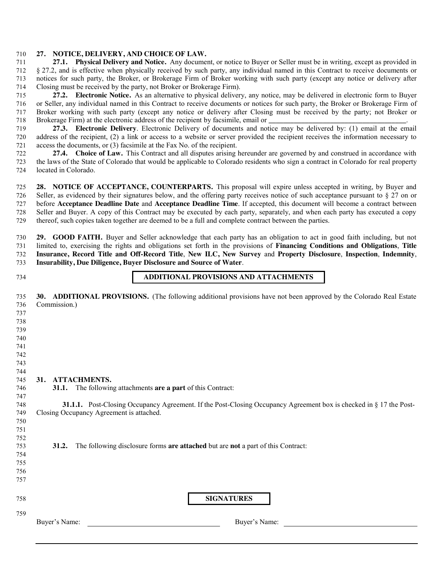#### **27. NOTICE, DELIVERY, AND CHOICE OF LAW.**

 **27.1. Physical Delivery and Notice.** Any document, or notice to Buyer or Seller must be in writing, except as provided in § 27.2, and is effective when physically received by such party, any individual named in this Contract to receive documents or notices for such party, the Broker, or Brokerage Firm of Broker working with such party (except any notice or delivery after Closing must be received by the party, not Broker or Brokerage Firm).

 **27.2. Electronic Notice.** As an alternative to physical delivery, any notice, may be delivered in electronic form to Buyer or Seller, any individual named in this Contract to receive documents or notices for such party, the Broker or Brokerage Firm of Broker working with such party (except any notice or delivery after Closing must be received by the party; not Broker or 718 Brokerage Firm) at the electronic address of the recipient by facsimile, email or

 **27.3. Electronic Delivery**. Electronic Delivery of documents and notice may be delivered by: (1) email at the email address of the recipient, (2) a link or access to a website or server provided the recipient receives the information necessary to access the documents, or (3) facsimile at the Fax No. of the recipient.

 **27.4. Choice of Law.** This Contract and all disputes arising hereunder are governed by and construed in accordance with the laws of the State of Colorado that would be applicable to Colorado residents who sign a contract in Colorado for real property located in Colorado.

 **28. NOTICE OF ACCEPTANCE, COUNTERPARTS.** This proposal will expire unless accepted in writing, by Buyer and Seller, as evidenced by their signatures below, and the offering party receives notice of such acceptance pursuant to § 27 on or before **Acceptance Deadline Date** and **Acceptance Deadline Time**. If accepted, this document will become a contract between Seller and Buyer. A copy of this Contract may be executed by each party, separately, and when each party has executed a copy thereof, such copies taken together are deemed to be a full and complete contract between the parties.

 **29. GOOD FAITH.** Buyer and Seller acknowledge that each party has an obligation to act in good faith including, but not limited to, exercising the rights and obligations set forth in the provisions of **Financing Conditions and Obligations**, **Title Insurance, Record Title and Off-Record Title**, **New ILC, New Survey** and **Property Disclosure**, **Inspection**, **Indemnity**, **Insurability, Due Diligence, Buyer Disclosure and Source of Water**.

# **ADDITIONAL PROVISIONS AND ATTACHMENTS**

 **30. ADDITIONAL PROVISIONS.** (The following additional provisions have not been approved by the Colorado Real Estate Commission.) 

- 
- 
- 
- 
- 

# 

**31. ATTACHMENTS.** 

 **31.1.** The following attachments **are a part** of this Contract:

**SIGNATURES** 

Buyer's Name: Buyer's Name:

 **31.1.1.** Post-Closing Occupancy Agreement. If the Post-Closing Occupancy Agreement box is checked in § 17 the Post-Closing Occupancy Agreement is attached.

- 
- **31.2.** The following disclosure forms **are attached** but are **not** a part of this Contract:
-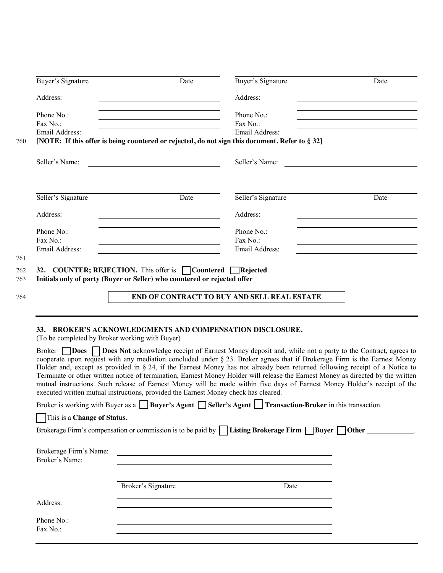|     | Buyer's Signature                              | Date                                                                                                                  | Buyer's Signature                                                                                                                                                                                                                                                                                                                                                                                                                                                                                                                                                                                                                                              | Date                                                       |  |  |
|-----|------------------------------------------------|-----------------------------------------------------------------------------------------------------------------------|----------------------------------------------------------------------------------------------------------------------------------------------------------------------------------------------------------------------------------------------------------------------------------------------------------------------------------------------------------------------------------------------------------------------------------------------------------------------------------------------------------------------------------------------------------------------------------------------------------------------------------------------------------------|------------------------------------------------------------|--|--|
|     | Address:                                       |                                                                                                                       | Address:                                                                                                                                                                                                                                                                                                                                                                                                                                                                                                                                                                                                                                                       |                                                            |  |  |
|     | Phone No.:                                     |                                                                                                                       | Phone No.:                                                                                                                                                                                                                                                                                                                                                                                                                                                                                                                                                                                                                                                     |                                                            |  |  |
|     | Fax No.:                                       |                                                                                                                       | Fax No.:                                                                                                                                                                                                                                                                                                                                                                                                                                                                                                                                                                                                                                                       |                                                            |  |  |
|     | Email Address:                                 |                                                                                                                       | Email Address:                                                                                                                                                                                                                                                                                                                                                                                                                                                                                                                                                                                                                                                 |                                                            |  |  |
| 760 |                                                |                                                                                                                       | [NOTE: If this offer is being countered or rejected, do not sign this document. Refer to $\S 32$ ]                                                                                                                                                                                                                                                                                                                                                                                                                                                                                                                                                             |                                                            |  |  |
|     |                                                |                                                                                                                       |                                                                                                                                                                                                                                                                                                                                                                                                                                                                                                                                                                                                                                                                |                                                            |  |  |
|     | Seller's Name:                                 |                                                                                                                       | Seller's Name:                                                                                                                                                                                                                                                                                                                                                                                                                                                                                                                                                                                                                                                 |                                                            |  |  |
|     | Seller's Signature                             | Date                                                                                                                  | Seller's Signature                                                                                                                                                                                                                                                                                                                                                                                                                                                                                                                                                                                                                                             | Date                                                       |  |  |
|     |                                                |                                                                                                                       |                                                                                                                                                                                                                                                                                                                                                                                                                                                                                                                                                                                                                                                                |                                                            |  |  |
|     | Address:                                       | <u> 1980 - Johann Barn, mars ann an t-Amhain Aonaichte ann an t-Amhain Aonaichte ann an t-Amhain Aonaichte ann an</u> | Address:                                                                                                                                                                                                                                                                                                                                                                                                                                                                                                                                                                                                                                                       |                                                            |  |  |
|     | Phone No.:                                     | <u> 1989 - Johann Barbara, martxa alemaniar amerikan personal (h. 1989).</u>                                          | Phone No.:                                                                                                                                                                                                                                                                                                                                                                                                                                                                                                                                                                                                                                                     |                                                            |  |  |
|     | Fax No.:                                       | <u> 1989 - Johann Barn, mars eta biztanleria (h. 1989).</u>                                                           | Fax No.:                                                                                                                                                                                                                                                                                                                                                                                                                                                                                                                                                                                                                                                       | <u> 1980 - Johann Barbara, martxa alemaniar amerikan a</u> |  |  |
|     | Email Address:                                 |                                                                                                                       | Email Address:                                                                                                                                                                                                                                                                                                                                                                                                                                                                                                                                                                                                                                                 |                                                            |  |  |
| 761 |                                                |                                                                                                                       |                                                                                                                                                                                                                                                                                                                                                                                                                                                                                                                                                                                                                                                                |                                                            |  |  |
| 764 |                                                |                                                                                                                       | END OF CONTRACT TO BUY AND SELL REAL ESTATE                                                                                                                                                                                                                                                                                                                                                                                                                                                                                                                                                                                                                    |                                                            |  |  |
|     | (To be completed by Broker working with Buyer) | 33. BROKER'S ACKNOWLEDGMENTS AND COMPENSATION DISCLOSURE.                                                             |                                                                                                                                                                                                                                                                                                                                                                                                                                                                                                                                                                                                                                                                |                                                            |  |  |
|     |                                                | executed written mutual instructions, provided the Earnest Money check has cleared.                                   | Broker <b>Does</b> Does Not acknowledge receipt of Earnest Money deposit and, while not a party to the Contract, agrees to<br>cooperate upon request with any mediation concluded under $\S$ 23. Broker agrees that if Brokerage Firm is the Earnest Money<br>Holder and, except as provided in $\S 24$ , if the Earnest Money has not already been returned following receipt of a Notice to<br>Terminate or other written notice of termination, Earnest Money Holder will release the Earnest Money as directed by the written<br>mutual instructions. Such release of Earnest Money will be made within five days of Earnest Money Holder's receipt of the |                                                            |  |  |
|     |                                                |                                                                                                                       | Broker is working with Buyer as a Buyer's Agent Seller's Agent Transaction-Broker in this transaction.                                                                                                                                                                                                                                                                                                                                                                                                                                                                                                                                                         |                                                            |  |  |
|     | This is a Change of Status.                    |                                                                                                                       |                                                                                                                                                                                                                                                                                                                                                                                                                                                                                                                                                                                                                                                                |                                                            |  |  |
|     |                                                |                                                                                                                       | Brokerage Firm's compensation or commission is to be paid by $\vert \vert$ Listing Brokerage Firm $\vert \vert$ Buyer $\vert \vert$ Other ____________.                                                                                                                                                                                                                                                                                                                                                                                                                                                                                                        |                                                            |  |  |
|     | Brokerage Firm's Name:<br>Broker's Name:       |                                                                                                                       | <u> 1989 - Johann Barn, mars ann an t-Amhain ann an t-Amhain an t-Amhain an t-Amhain an t-Amhain an t-Amhain an t-</u>                                                                                                                                                                                                                                                                                                                                                                                                                                                                                                                                         |                                                            |  |  |
|     |                                                | Broker's Signature                                                                                                    | Date                                                                                                                                                                                                                                                                                                                                                                                                                                                                                                                                                                                                                                                           |                                                            |  |  |
|     | Address:                                       |                                                                                                                       |                                                                                                                                                                                                                                                                                                                                                                                                                                                                                                                                                                                                                                                                |                                                            |  |  |
|     | Phone No.:                                     |                                                                                                                       | the control of the control of the control of the control of the control of the control of the control of the control of the control of the control of the control of the control of the control of the control of the control                                                                                                                                                                                                                                                                                                                                                                                                                                  |                                                            |  |  |
|     | Fax No.:                                       |                                                                                                                       | the control of the control of the control of the control of the control of the control of the control of the control of the control of the control of the control of the control of the control of the control of the control                                                                                                                                                                                                                                                                                                                                                                                                                                  |                                                            |  |  |
|     |                                                |                                                                                                                       |                                                                                                                                                                                                                                                                                                                                                                                                                                                                                                                                                                                                                                                                |                                                            |  |  |